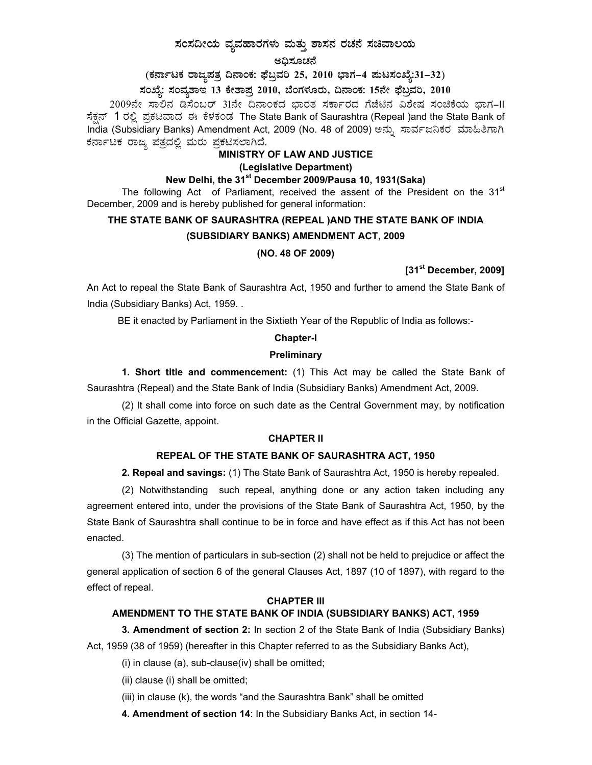## ಸಂಸದೀಯ ವ್ಯವಹಾರಗಳು ಮತ್ತು ಶಾಸನ ರಚನೆ ಸಚಿವಾಲಯ

ಅದಿಸೂಚನೆ

(ಕರ್ನಾಟಕ ರಾಜ್ಯಪತ್ರ ದಿನಾಂಕ: ಫೆಬ್ರವರಿ 25, 2010 ಭಾಗ–4 ಮಟಸಂಖ್ಯೆ:31–32)

## ಸಂಖ್ಯೆ: ಸಂವ್ನಶಾಇ 13 ಕೇಶಾಪ್ತ 2010, ಬೆಂಗಳೂರು, ದಿನಾಂಕ: 15ನೇ ಫೆಬ್ರವರಿ, 2010

2009ನೇ ಸಾಲಿನ ಡಿಸೆಂಬರ್ 31ನೇ ದಿನಾಂಕದ ಭಾರತ ಸರ್ಕಾರದ ಗೆಜೆಟಿನ ವಿಶೇಷ ಸಂಚಿಕೆಯ ಭಾಗ–II ಸೆಕ್ಸನ್ 1 ರಲ್ಲಿ ಪ್ರಕಟವಾದ ಈ ಕೆಳಕಂಡ The State Bank of Saurashtra (Repeal )and the State Bank of India (Subsidiary Banks) Amendment Act, 2009 (No. 48 of 2009) ಅನ್ಸು ಸಾರ್ವಜನಿಕರ ಮಾಹಿತಿಗಾಗಿ ಕರ್ನಾಟಕ ರಾಜ್ಯ ಪತ್ರದಲ್ಲಿ ಮರು ಪ್ರಕಟಿಸಲಾಗಿದೆ.

#### MINISTRY OF LAW AND JUSTICE

#### (Legislative Department)

## New Delhi, the 31<sup>st</sup> December 2009/Pausa 10, 1931(Saka)

The following Act of Parliament, received the assent of the President on the 31<sup>st</sup> December, 2009 and is hereby published for general information:

# THE STATE BANK OF SAURASHTRA (REPEAL )AND THE STATE BANK OF INDIA (SUBSIDIARY BANKS) AMENDMENT ACT, 2009 (NO. 48 OF 2009)

 $[31<sup>st</sup>$  December, 2009]

An Act to repeal the State Bank of Saurashtra Act, 1950 and further to amend the State Bank of India (Subsidiary Banks) Act, 1959...

BE it enacted by Parliament in the Sixtieth Year of the Republic of India as follows:-

#### **Chapter-I**

### Preliminary

1. Short title and commencement: (1) This Act may be called the State Bank of Saurashtra (Repeal) and the State Bank of India (Subsidiary Banks) Amendment Act, 2009.

(2) It shall come into force on such date as the Central Government may, by notification in the Official Gazette, appoint.

#### **CHAPTER II**

#### REPEAL OF THE STATE BANK OF SAURASHTRA ACT, 1950

2. Repeal and savings: (1) The State Bank of Saurashtra Act, 1950 is hereby repealed.

(2) Notwithstanding such repeal, anything done or any action taken including any agreement entered into, under the provisions of the State Bank of Saurashtra Act, 1950, by the State Bank of Saurashtra shall continue to be in force and have effect as if this Act has not been enacted.

(3) The mention of particulars in sub-section (2) shall not be held to prejudice or affect the general application of section 6 of the general Clauses Act, 1897 (10 of 1897), with regard to the effect of repeal.

#### **CHAPTER III**

## AMENDMENT TO THE STATE BANK OF INDIA (SUBSIDIARY BANKS) ACT, 1959

3. Amendment of section 2: In section 2 of the State Bank of India (Subsidiary Banks) Act, 1959 (38 of 1959) (hereafter in this Chapter referred to as the Subsidiary Banks Act),

(i) in clause (a), sub-clause(iv) shall be omitted;

(ii) clause (i) shall be omitted;

(iii) in clause (k), the words "and the Saurashtra Bank" shall be omitted

4. Amendment of section 14: In the Subsidiary Banks Act, in section 14-